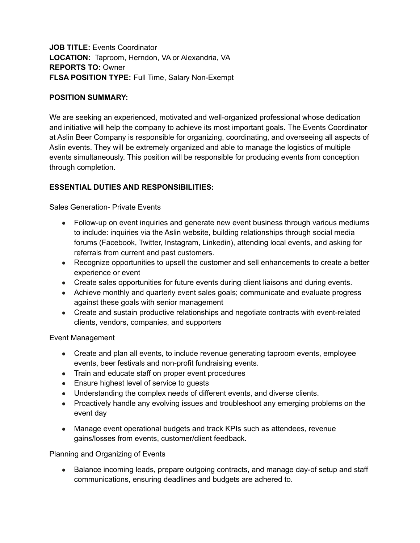**JOB TITLE:** Events Coordinator **LOCATION:** Taproom, Herndon, VA or Alexandria, VA **REPORTS TO:** Owner **FLSA POSITION TYPE:** Full Time, Salary Non-Exempt

## **POSITION SUMMARY:**

We are seeking an experienced, motivated and well-organized professional whose dedication and initiative will help the company to achieve its most important goals. The Events Coordinator at Aslin Beer Company is responsible for organizing, coordinating, and overseeing all aspects of Aslin events. They will be extremely organized and able to manage the logistics of multiple events simultaneously. This position will be responsible for producing events from conception through completion.

# **ESSENTIAL DUTIES AND RESPONSIBILITIES:**

Sales Generation- Private Events

- Follow-up on event inquiries and generate new event business through various mediums to include: inquiries via the Aslin website, building relationships through social media forums (Facebook, Twitter, Instagram, Linkedin), attending local events, and asking for referrals from current and past customers.
- Recognize opportunities to upsell the customer and sell enhancements to create a better experience or event
- Create sales opportunities for future events during client liaisons and during events.
- Achieve monthly and quarterly event sales goals; communicate and evaluate progress against these goals with senior management
- Create and sustain productive relationships and negotiate contracts with event-related clients, vendors, companies, and supporters

Event Management

- Create and plan all events, to include revenue generating taproom events, employee events, beer festivals and non-profit fundraising events.
- Train and educate staff on proper event procedures
- Ensure highest level of service to guests
- Understanding the complex needs of different events, and diverse clients.
- Proactively handle any evolving issues and troubleshoot any emerging problems on the event day
- Manage event operational budgets and track KPIs such as attendees, revenue gains/losses from events, customer/client feedback.

Planning and Organizing of Events

● Balance incoming leads, prepare outgoing contracts, and manage day-of setup and staff communications, ensuring deadlines and budgets are adhered to.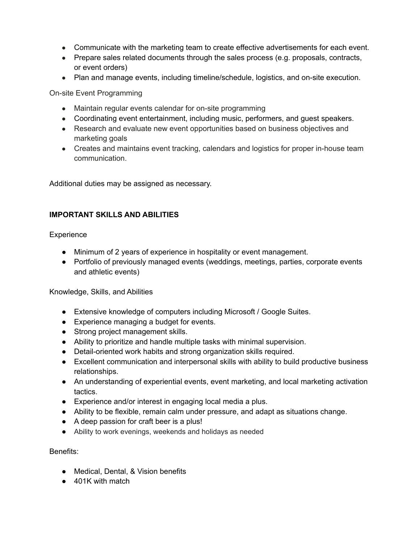- Communicate with the marketing team to create effective advertisements for each event.
- Prepare sales related documents through the sales process (e.g. proposals, contracts, or event orders)
- Plan and manage events, including timeline/schedule, logistics, and on-site execution.

On-site Event Programming

- Maintain regular events calendar for on-site programming
- Coordinating event entertainment, including music, performers, and guest speakers.
- Research and evaluate new event opportunities based on business objectives and marketing goals
- Creates and maintains event tracking, calendars and logistics for proper in-house team communication.

Additional duties may be assigned as necessary.

# **IMPORTANT SKILLS AND ABILITIES**

## **Experience**

- Minimum of 2 years of experience in hospitality or event management.
- Portfolio of previously managed events (weddings, meetings, parties, corporate events and athletic events)

Knowledge, Skills, and Abilities

- Extensive knowledge of computers including Microsoft / Google Suites.
- Experience managing a budget for events.
- Strong project management skills.
- Ability to prioritize and handle multiple tasks with minimal supervision.
- Detail-oriented work habits and strong organization skills required.
- Excellent communication and interpersonal skills with ability to build productive business relationships.
- An understanding of experiential events, event marketing, and local marketing activation tactics.
- Experience and/or interest in engaging local media a plus.
- Ability to be flexible, remain calm under pressure, and adapt as situations change.
- A deep passion for craft beer is a plus!
- Ability to work evenings, weekends and holidays as needed

### Benefits:

- Medical, Dental, & Vision benefits
- 401K with match